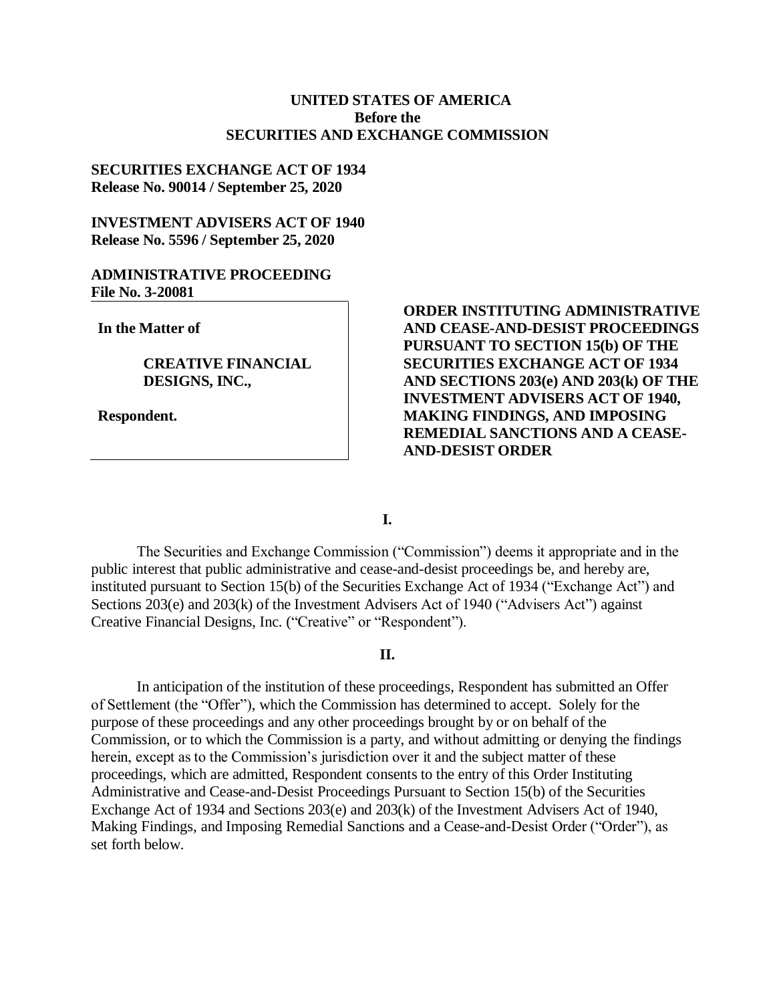# **UNITED STATES OF AMERICA Before the SECURITIES AND EXCHANGE COMMISSION**

# **SECURITIES EXCHANGE ACT OF 1934 Release No. 90014 / September 25, 2020**

## **INVESTMENT ADVISERS ACT OF 1940 Release No. 5596 / September 25, 2020**

#### **ADMINISTRATIVE PROCEEDING File No. 3-20081**

**In the Matter of**

**CREATIVE FINANCIAL DESIGNS, INC.,**

**Respondent.**

# **ORDER INSTITUTING ADMINISTRATIVE AND CEASE-AND-DESIST PROCEEDINGS PURSUANT TO SECTION 15(b) OF THE SECURITIES EXCHANGE ACT OF 1934 AND SECTIONS 203(e) AND 203(k) OF THE INVESTMENT ADVISERS ACT OF 1940, MAKING FINDINGS, AND IMPOSING REMEDIAL SANCTIONS AND A CEASE-AND-DESIST ORDER**

**I.**

The Securities and Exchange Commission ("Commission") deems it appropriate and in the public interest that public administrative and cease-and-desist proceedings be, and hereby are, instituted pursuant to Section 15(b) of the Securities Exchange Act of 1934 ("Exchange Act") and Sections 203(e) and 203(k) of the Investment Advisers Act of 1940 ("Advisers Act") against Creative Financial Designs, Inc. ("Creative" or "Respondent").

## **II.**

In anticipation of the institution of these proceedings, Respondent has submitted an Offer of Settlement (the "Offer"), which the Commission has determined to accept. Solely for the purpose of these proceedings and any other proceedings brought by or on behalf of the Commission, or to which the Commission is a party, and without admitting or denying the findings herein, except as to the Commission's jurisdiction over it and the subject matter of these proceedings, which are admitted, Respondent consents to the entry of this Order Instituting Administrative and Cease-and-Desist Proceedings Pursuant to Section 15(b) of the Securities Exchange Act of 1934 and Sections 203(e) and 203(k) of the Investment Advisers Act of 1940, Making Findings, and Imposing Remedial Sanctions and a Cease-and-Desist Order ("Order"), as set forth below.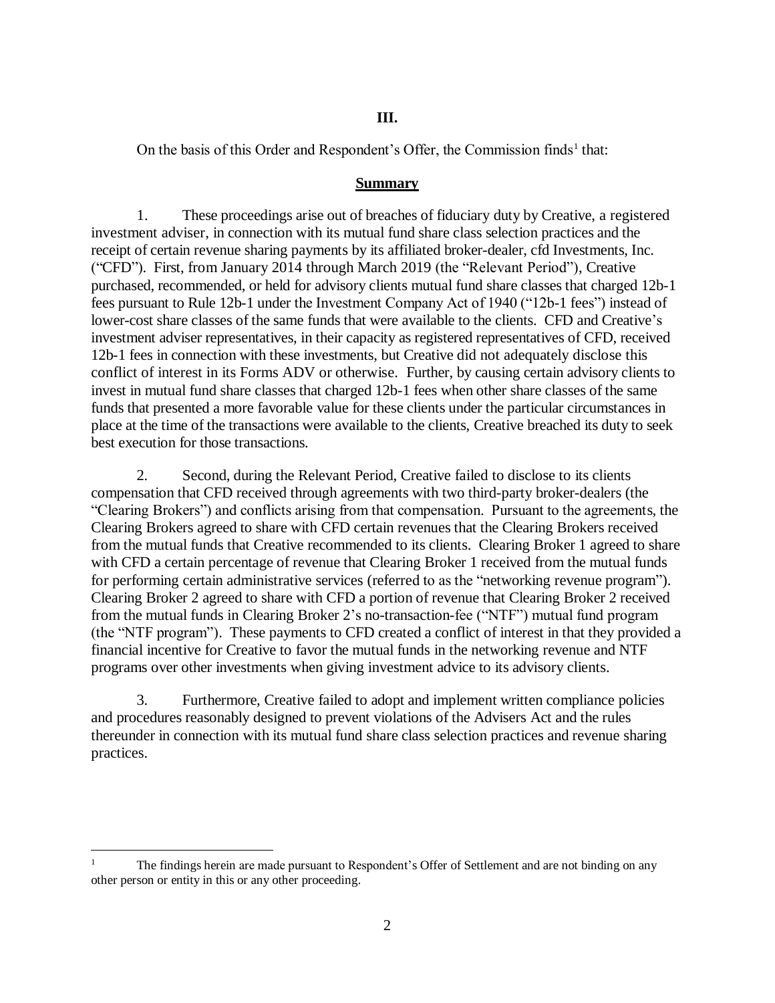# **III.**

On the basis of this Order and Respondent's Offer, the Commission finds<sup>1</sup> that:

### **Summary**

1. These proceedings arise out of breaches of fiduciary duty by Creative, a registered investment adviser, in connection with its mutual fund share class selection practices and the receipt of certain revenue sharing payments by its affiliated broker-dealer, cfd Investments, Inc. ("CFD"). First, from January 2014 through March 2019 (the "Relevant Period"), Creative purchased, recommended, or held for advisory clients mutual fund share classes that charged 12b-1 fees pursuant to Rule 12b-1 under the Investment Company Act of 1940 ("12b-1 fees") instead of lower-cost share classes of the same funds that were available to the clients. CFD and Creative's investment adviser representatives, in their capacity as registered representatives of CFD, received 12b-1 fees in connection with these investments, but Creative did not adequately disclose this conflict of interest in its Forms ADV or otherwise. Further, by causing certain advisory clients to invest in mutual fund share classes that charged 12b-1 fees when other share classes of the same funds that presented a more favorable value for these clients under the particular circumstances in place at the time of the transactions were available to the clients, Creative breached its duty to seek best execution for those transactions.

2. Second, during the Relevant Period, Creative failed to disclose to its clients compensation that CFD received through agreements with two third-party broker-dealers (the "Clearing Brokers") and conflicts arising from that compensation. Pursuant to the agreements, the Clearing Brokers agreed to share with CFD certain revenues that the Clearing Brokers received from the mutual funds that Creative recommended to its clients. Clearing Broker 1 agreed to share with CFD a certain percentage of revenue that Clearing Broker 1 received from the mutual funds for performing certain administrative services (referred to as the "networking revenue program"). Clearing Broker 2 agreed to share with CFD a portion of revenue that Clearing Broker 2 received from the mutual funds in Clearing Broker 2's no-transaction-fee ("NTF") mutual fund program (the "NTF program"). These payments to CFD created a conflict of interest in that they provided a financial incentive for Creative to favor the mutual funds in the networking revenue and NTF programs over other investments when giving investment advice to its advisory clients.

3. Furthermore, Creative failed to adopt and implement written compliance policies and procedures reasonably designed to prevent violations of the Advisers Act and the rules thereunder in connection with its mutual fund share class selection practices and revenue sharing practices.

 $\overline{a}$ 

<sup>1</sup> The findings herein are made pursuant to Respondent's Offer of Settlement and are not binding on any other person or entity in this or any other proceeding.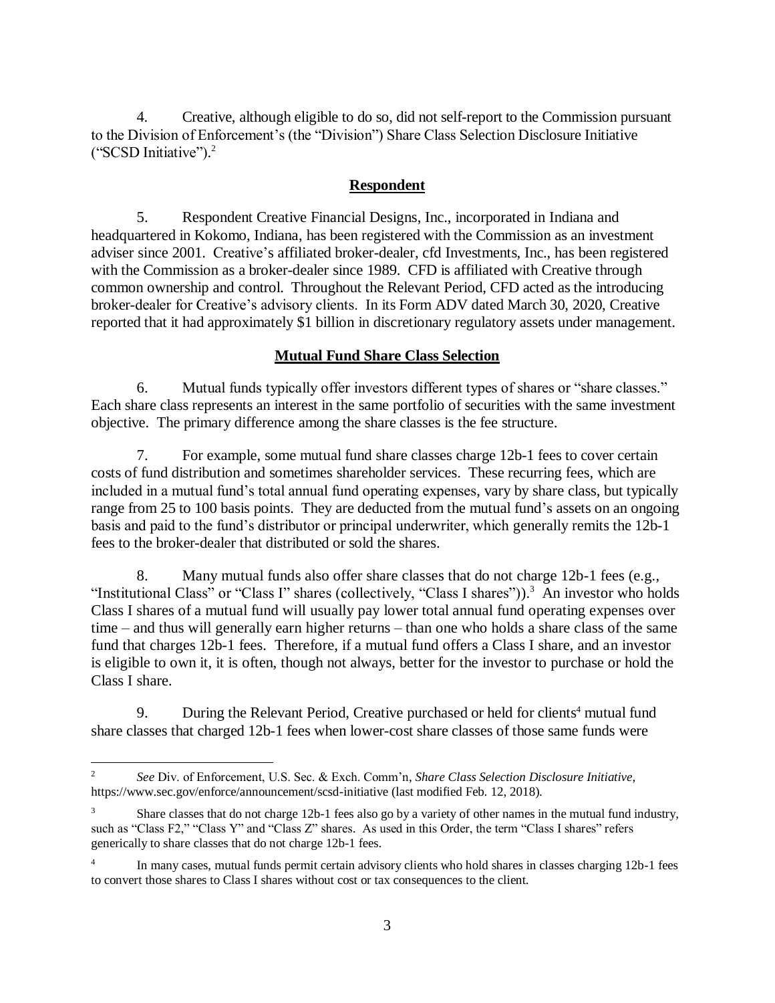4. Creative, although eligible to do so, did not self-report to the Commission pursuant to the Division of Enforcement's (the "Division") Share Class Selection Disclosure Initiative ("SCSD Initiative").<sup>2</sup>

#### **Respondent**

5. Respondent Creative Financial Designs, Inc., incorporated in Indiana and headquartered in Kokomo, Indiana, has been registered with the Commission as an investment adviser since 2001. Creative's affiliated broker-dealer, cfd Investments, Inc., has been registered with the Commission as a broker-dealer since 1989. CFD is affiliated with Creative through common ownership and control. Throughout the Relevant Period, CFD acted as the introducing broker-dealer for Creative's advisory clients. In its Form ADV dated March 30, 2020, Creative reported that it had approximately \$1 billion in discretionary regulatory assets under management.

#### **Mutual Fund Share Class Selection**

6. Mutual funds typically offer investors different types of shares or "share classes." Each share class represents an interest in the same portfolio of securities with the same investment objective. The primary difference among the share classes is the fee structure.

7. For example, some mutual fund share classes charge 12b-1 fees to cover certain costs of fund distribution and sometimes shareholder services. These recurring fees, which are included in a mutual fund's total annual fund operating expenses, vary by share class, but typically range from 25 to 100 basis points. They are deducted from the mutual fund's assets on an ongoing basis and paid to the fund's distributor or principal underwriter, which generally remits the 12b-1 fees to the broker-dealer that distributed or sold the shares.

8. Many mutual funds also offer share classes that do not charge 12b-1 fees (e.g., "Institutional Class" or "Class I" shares (collectively, "Class I shares")).<sup>3</sup> An investor who holds Class I shares of a mutual fund will usually pay lower total annual fund operating expenses over time – and thus will generally earn higher returns – than one who holds a share class of the same fund that charges 12b-1 fees. Therefore, if a mutual fund offers a Class I share, and an investor is eligible to own it, it is often, though not always, better for the investor to purchase or hold the Class I share.

9. During the Relevant Period, Creative purchased or held for clients<sup>4</sup> mutual fund share classes that charged 12b-1 fees when lower-cost share classes of those same funds were

 $\overline{a}$ 

<sup>2</sup> *See* Div. of Enforcement, U.S. Sec. & Exch. Comm'n, *Share Class Selection Disclosure Initiative*, https://www.sec.gov/enforce/announcement/scsd-initiative (last modified Feb. 12, 2018).

<sup>&</sup>lt;sup>3</sup> Share classes that do not charge 12b-1 fees also go by a variety of other names in the mutual fund industry, such as "Class F2," "Class Y" and "Class Z" shares. As used in this Order, the term "Class I shares" refers generically to share classes that do not charge 12b-1 fees.

<sup>4</sup> In many cases, mutual funds permit certain advisory clients who hold shares in classes charging 12b-1 fees to convert those shares to Class I shares without cost or tax consequences to the client.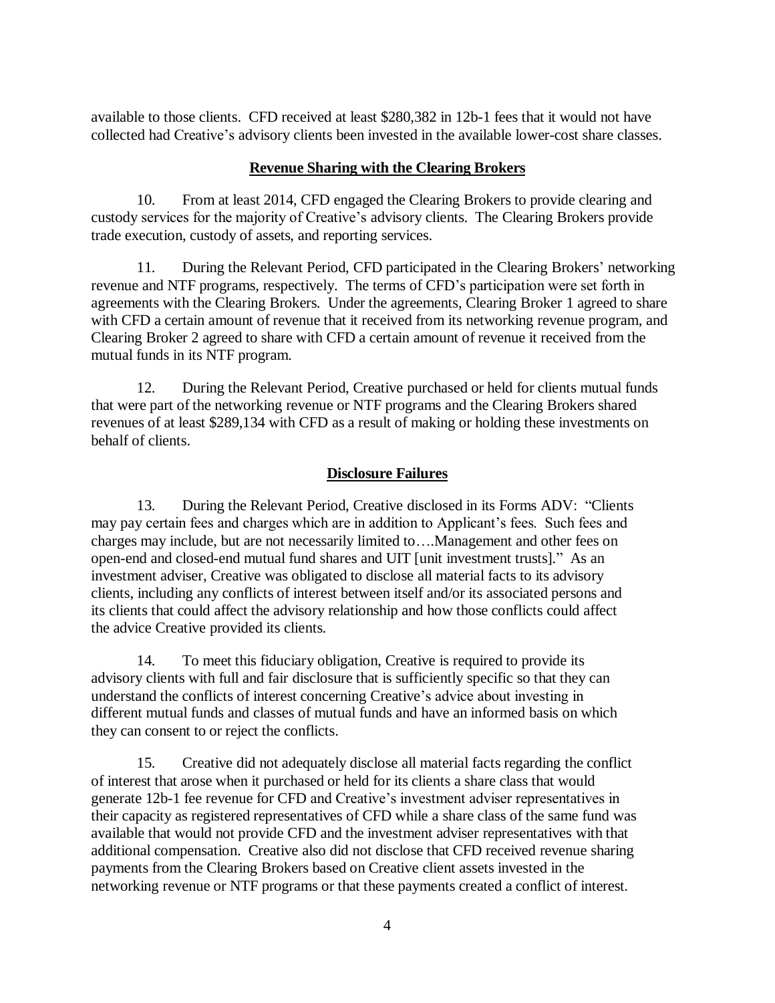available to those clients. CFD received at least \$280,382 in 12b-1 fees that it would not have collected had Creative's advisory clients been invested in the available lower-cost share classes.

## **Revenue Sharing with the Clearing Brokers**

10. From at least 2014, CFD engaged the Clearing Brokers to provide clearing and custody services for the majority of Creative's advisory clients. The Clearing Brokers provide trade execution, custody of assets, and reporting services.

11. During the Relevant Period, CFD participated in the Clearing Brokers' networking revenue and NTF programs, respectively. The terms of CFD's participation were set forth in agreements with the Clearing Brokers. Under the agreements, Clearing Broker 1 agreed to share with CFD a certain amount of revenue that it received from its networking revenue program, and Clearing Broker 2 agreed to share with CFD a certain amount of revenue it received from the mutual funds in its NTF program.

12. During the Relevant Period, Creative purchased or held for clients mutual funds that were part of the networking revenue or NTF programs and the Clearing Brokers shared revenues of at least \$289,134 with CFD as a result of making or holding these investments on behalf of clients.

# **Disclosure Failures**

13. During the Relevant Period, Creative disclosed in its Forms ADV: "Clients may pay certain fees and charges which are in addition to Applicant's fees. Such fees and charges may include, but are not necessarily limited to….Management and other fees on open-end and closed-end mutual fund shares and UIT [unit investment trusts]." As an investment adviser, Creative was obligated to disclose all material facts to its advisory clients, including any conflicts of interest between itself and/or its associated persons and its clients that could affect the advisory relationship and how those conflicts could affect the advice Creative provided its clients.

14. To meet this fiduciary obligation, Creative is required to provide its advisory clients with full and fair disclosure that is sufficiently specific so that they can understand the conflicts of interest concerning Creative's advice about investing in different mutual funds and classes of mutual funds and have an informed basis on which they can consent to or reject the conflicts.

15. Creative did not adequately disclose all material facts regarding the conflict of interest that arose when it purchased or held for its clients a share class that would generate 12b-1 fee revenue for CFD and Creative's investment adviser representatives in their capacity as registered representatives of CFD while a share class of the same fund was available that would not provide CFD and the investment adviser representatives with that additional compensation. Creative also did not disclose that CFD received revenue sharing payments from the Clearing Brokers based on Creative client assets invested in the networking revenue or NTF programs or that these payments created a conflict of interest.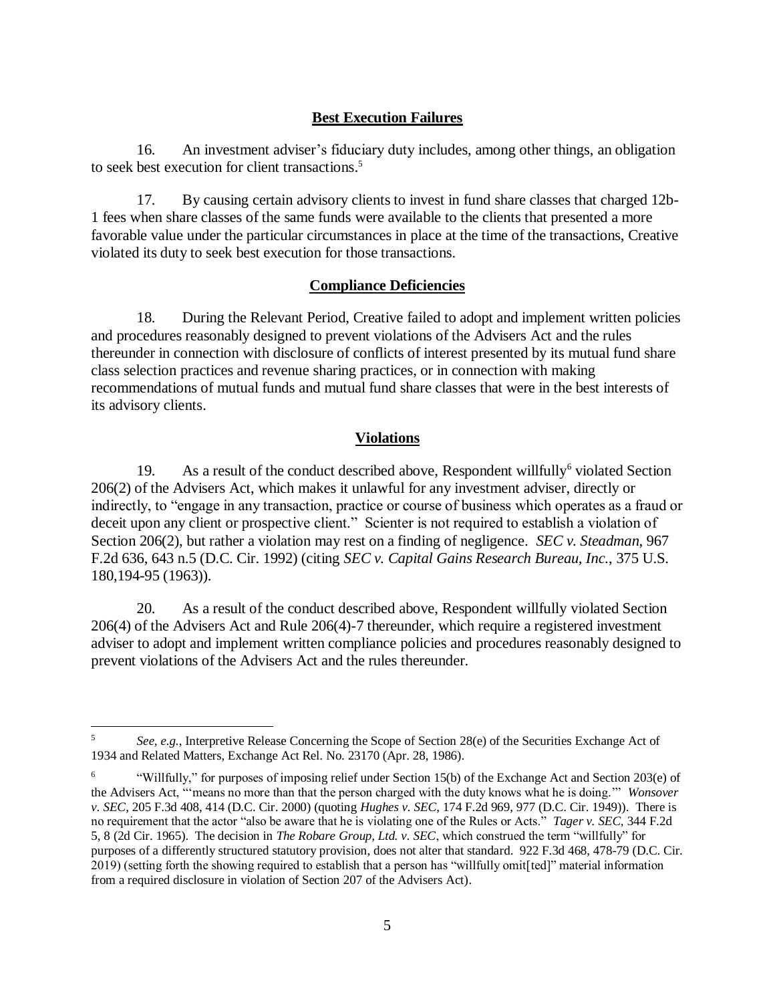## **Best Execution Failures**

16. An investment adviser's fiduciary duty includes, among other things, an obligation to seek best execution for client transactions. 5

17. By causing certain advisory clients to invest in fund share classes that charged 12b-1 fees when share classes of the same funds were available to the clients that presented a more favorable value under the particular circumstances in place at the time of the transactions, Creative violated its duty to seek best execution for those transactions.

#### **Compliance Deficiencies**

18. During the Relevant Period, Creative failed to adopt and implement written policies and procedures reasonably designed to prevent violations of the Advisers Act and the rules thereunder in connection with disclosure of conflicts of interest presented by its mutual fund share class selection practices and revenue sharing practices, or in connection with making recommendations of mutual funds and mutual fund share classes that were in the best interests of its advisory clients.

#### **Violations**

19. As a result of the conduct described above, Respondent willfully<sup>6</sup> violated Section 206(2) of the Advisers Act, which makes it unlawful for any investment adviser, directly or indirectly, to "engage in any transaction, practice or course of business which operates as a fraud or deceit upon any client or prospective client." Scienter is not required to establish a violation of Section 206(2), but rather a violation may rest on a finding of negligence. *SEC v. Steadman*, 967 F.2d 636, 643 n.5 (D.C. Cir. 1992) (citing *SEC v. Capital Gains Research Bureau, Inc.*, 375 U.S. 180,194-95 (1963)).

20. As a result of the conduct described above, Respondent willfully violated Section 206(4) of the Advisers Act and Rule 206(4)-7 thereunder, which require a registered investment adviser to adopt and implement written compliance policies and procedures reasonably designed to prevent violations of the Advisers Act and the rules thereunder.

 $\overline{a}$ 

<sup>5</sup> *See, e.g.*, Interpretive Release Concerning the Scope of Section 28(e) of the Securities Exchange Act of 1934 and Related Matters, Exchange Act Rel. No. 23170 (Apr. 28, 1986).

<sup>6</sup> "Willfully," for purposes of imposing relief under Section 15(b) of the Exchange Act and Section 203(e) of the Advisers Act, "'means no more than that the person charged with the duty knows what he is doing.'" *Wonsover v. SEC*, 205 F.3d 408, 414 (D.C. Cir. 2000) (quoting *Hughes v. SEC*, 174 F.2d 969, 977 (D.C. Cir. 1949)). There is no requirement that the actor "also be aware that he is violating one of the Rules or Acts." *Tager v. SEC*, 344 F.2d 5, 8 (2d Cir. 1965). The decision in *The Robare Group, Ltd. v. SEC*, which construed the term "willfully" for purposes of a differently structured statutory provision, does not alter that standard. 922 F.3d 468, 478-79 (D.C. Cir. 2019) (setting forth the showing required to establish that a person has "willfully omit[ted]" material information from a required disclosure in violation of Section 207 of the Advisers Act).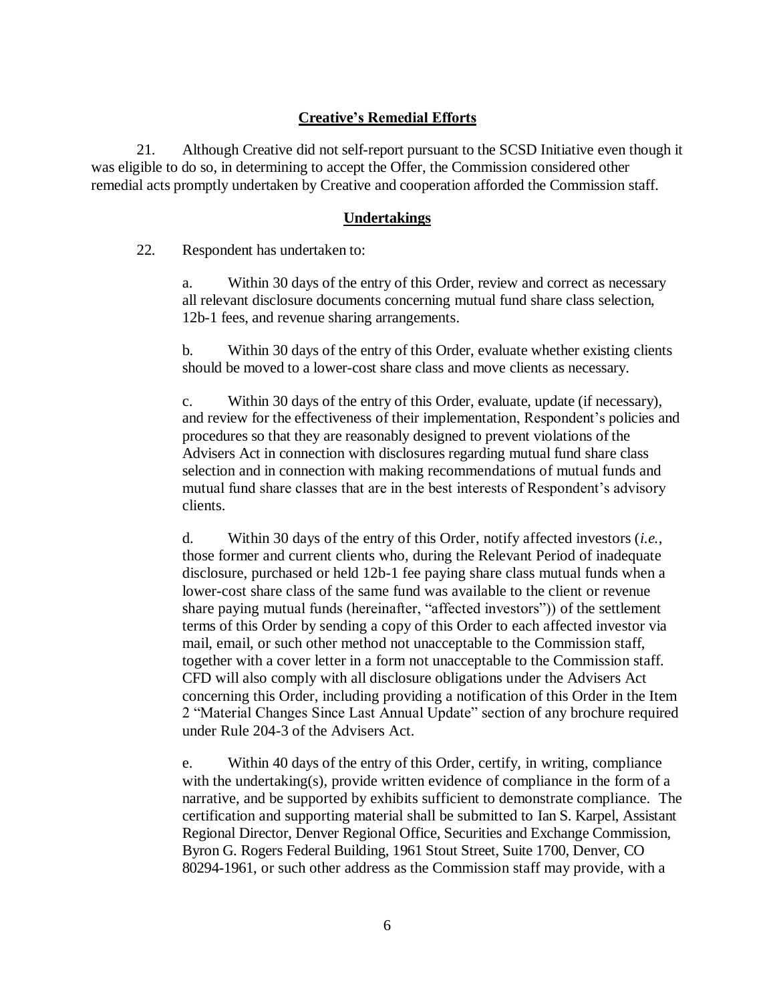# **Creative's Remedial Efforts**

21. Although Creative did not self-report pursuant to the SCSD Initiative even though it was eligible to do so, in determining to accept the Offer, the Commission considered other remedial acts promptly undertaken by Creative and cooperation afforded the Commission staff.

# **Undertakings**

22. Respondent has undertaken to:

a. Within 30 days of the entry of this Order, review and correct as necessary all relevant disclosure documents concerning mutual fund share class selection, 12b-1 fees, and revenue sharing arrangements.

b. Within 30 days of the entry of this Order, evaluate whether existing clients should be moved to a lower-cost share class and move clients as necessary.

c. Within 30 days of the entry of this Order, evaluate, update (if necessary), and review for the effectiveness of their implementation, Respondent's policies and procedures so that they are reasonably designed to prevent violations of the Advisers Act in connection with disclosures regarding mutual fund share class selection and in connection with making recommendations of mutual funds and mutual fund share classes that are in the best interests of Respondent's advisory clients.

d. Within 30 days of the entry of this Order, notify affected investors (*i.e.*, those former and current clients who, during the Relevant Period of inadequate disclosure, purchased or held 12b-1 fee paying share class mutual funds when a lower-cost share class of the same fund was available to the client or revenue share paying mutual funds (hereinafter, "affected investors")) of the settlement terms of this Order by sending a copy of this Order to each affected investor via mail, email, or such other method not unacceptable to the Commission staff, together with a cover letter in a form not unacceptable to the Commission staff. CFD will also comply with all disclosure obligations under the Advisers Act concerning this Order, including providing a notification of this Order in the Item 2 "Material Changes Since Last Annual Update" section of any brochure required under Rule 204-3 of the Advisers Act.

e. Within 40 days of the entry of this Order, certify, in writing, compliance with the undertaking(s), provide written evidence of compliance in the form of a narrative, and be supported by exhibits sufficient to demonstrate compliance. The certification and supporting material shall be submitted to Ian S. Karpel, Assistant Regional Director, Denver Regional Office, Securities and Exchange Commission, Byron G. Rogers Federal Building, 1961 Stout Street, Suite 1700, Denver, CO 80294-1961, or such other address as the Commission staff may provide, with a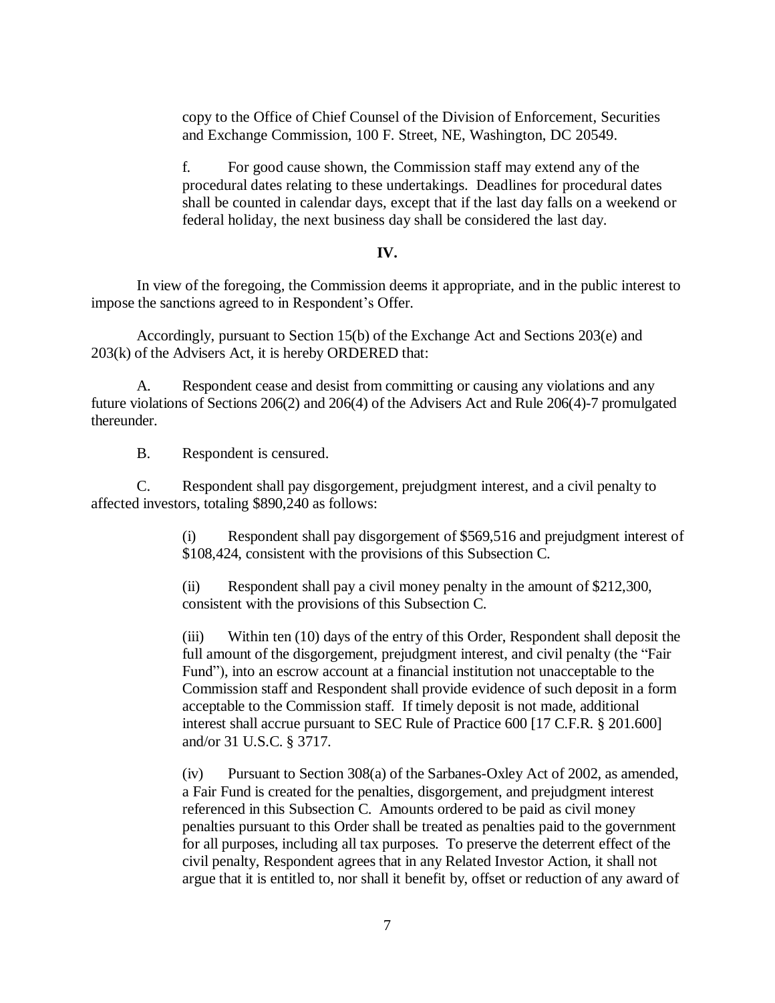copy to the Office of Chief Counsel of the Division of Enforcement, Securities and Exchange Commission, 100 F. Street, NE, Washington, DC 20549.

f. For good cause shown, the Commission staff may extend any of the procedural dates relating to these undertakings. Deadlines for procedural dates shall be counted in calendar days, except that if the last day falls on a weekend or federal holiday, the next business day shall be considered the last day.

#### **IV.**

In view of the foregoing, the Commission deems it appropriate, and in the public interest to impose the sanctions agreed to in Respondent's Offer.

Accordingly, pursuant to Section 15(b) of the Exchange Act and Sections 203(e) and 203(k) of the Advisers Act, it is hereby ORDERED that:

A. Respondent cease and desist from committing or causing any violations and any future violations of Sections 206(2) and 206(4) of the Advisers Act and Rule 206(4)-7 promulgated thereunder.

B. Respondent is censured.

C. Respondent shall pay disgorgement, prejudgment interest, and a civil penalty to affected investors, totaling \$890,240 as follows:

> (i) Respondent shall pay disgorgement of \$569,516 and prejudgment interest of \$108,424, consistent with the provisions of this Subsection C.

(ii) Respondent shall pay a civil money penalty in the amount of \$212,300, consistent with the provisions of this Subsection C.

(iii) Within ten (10) days of the entry of this Order, Respondent shall deposit the full amount of the disgorgement, prejudgment interest, and civil penalty (the "Fair Fund"), into an escrow account at a financial institution not unacceptable to the Commission staff and Respondent shall provide evidence of such deposit in a form acceptable to the Commission staff. If timely deposit is not made, additional interest shall accrue pursuant to SEC Rule of Practice 600 [17 C.F.R. § 201.600] and/or 31 U.S.C. § 3717.

(iv) Pursuant to Section 308(a) of the Sarbanes-Oxley Act of 2002, as amended, a Fair Fund is created for the penalties, disgorgement, and prejudgment interest referenced in this Subsection C. Amounts ordered to be paid as civil money penalties pursuant to this Order shall be treated as penalties paid to the government for all purposes, including all tax purposes. To preserve the deterrent effect of the civil penalty, Respondent agrees that in any Related Investor Action, it shall not argue that it is entitled to, nor shall it benefit by, offset or reduction of any award of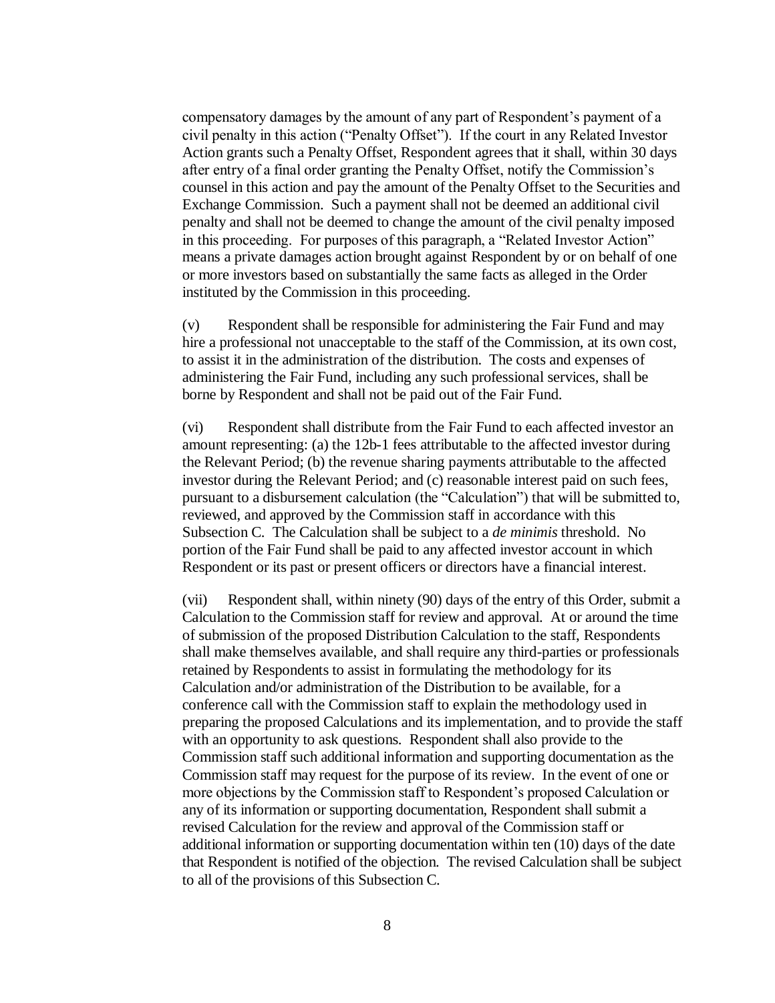compensatory damages by the amount of any part of Respondent's payment of a civil penalty in this action ("Penalty Offset"). If the court in any Related Investor Action grants such a Penalty Offset, Respondent agrees that it shall, within 30 days after entry of a final order granting the Penalty Offset, notify the Commission's counsel in this action and pay the amount of the Penalty Offset to the Securities and Exchange Commission. Such a payment shall not be deemed an additional civil penalty and shall not be deemed to change the amount of the civil penalty imposed in this proceeding. For purposes of this paragraph, a "Related Investor Action" means a private damages action brought against Respondent by or on behalf of one or more investors based on substantially the same facts as alleged in the Order instituted by the Commission in this proceeding.

(v) Respondent shall be responsible for administering the Fair Fund and may hire a professional not unacceptable to the staff of the Commission, at its own cost, to assist it in the administration of the distribution. The costs and expenses of administering the Fair Fund, including any such professional services, shall be borne by Respondent and shall not be paid out of the Fair Fund.

(vi) Respondent shall distribute from the Fair Fund to each affected investor an amount representing: (a) the 12b-1 fees attributable to the affected investor during the Relevant Period; (b) the revenue sharing payments attributable to the affected investor during the Relevant Period; and (c) reasonable interest paid on such fees, pursuant to a disbursement calculation (the "Calculation") that will be submitted to, reviewed, and approved by the Commission staff in accordance with this Subsection C. The Calculation shall be subject to a *de minimis* threshold. No portion of the Fair Fund shall be paid to any affected investor account in which Respondent or its past or present officers or directors have a financial interest.

(vii) Respondent shall, within ninety (90) days of the entry of this Order, submit a Calculation to the Commission staff for review and approval. At or around the time of submission of the proposed Distribution Calculation to the staff, Respondents shall make themselves available, and shall require any third-parties or professionals retained by Respondents to assist in formulating the methodology for its Calculation and/or administration of the Distribution to be available, for a conference call with the Commission staff to explain the methodology used in preparing the proposed Calculations and its implementation, and to provide the staff with an opportunity to ask questions. Respondent shall also provide to the Commission staff such additional information and supporting documentation as the Commission staff may request for the purpose of its review. In the event of one or more objections by the Commission staff to Respondent's proposed Calculation or any of its information or supporting documentation, Respondent shall submit a revised Calculation for the review and approval of the Commission staff or additional information or supporting documentation within ten (10) days of the date that Respondent is notified of the objection. The revised Calculation shall be subject to all of the provisions of this Subsection C.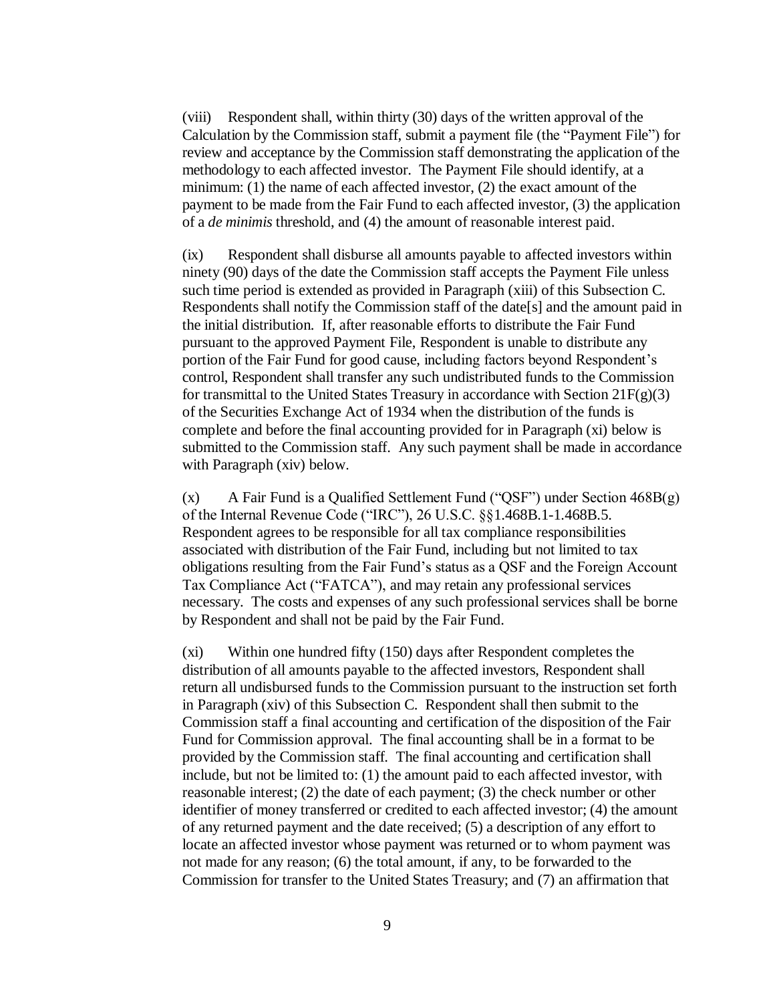(viii) Respondent shall, within thirty (30) days of the written approval of the Calculation by the Commission staff, submit a payment file (the "Payment File") for review and acceptance by the Commission staff demonstrating the application of the methodology to each affected investor. The Payment File should identify, at a minimum: (1) the name of each affected investor, (2) the exact amount of the payment to be made from the Fair Fund to each affected investor, (3) the application of a *de minimis* threshold, and (4) the amount of reasonable interest paid.

(ix) Respondent shall disburse all amounts payable to affected investors within ninety (90) days of the date the Commission staff accepts the Payment File unless such time period is extended as provided in Paragraph (xiii) of this Subsection C. Respondents shall notify the Commission staff of the date[s] and the amount paid in the initial distribution. If, after reasonable efforts to distribute the Fair Fund pursuant to the approved Payment File, Respondent is unable to distribute any portion of the Fair Fund for good cause, including factors beyond Respondent's control, Respondent shall transfer any such undistributed funds to the Commission for transmittal to the United States Treasury in accordance with Section  $21F(g)(3)$ of the Securities Exchange Act of 1934 when the distribution of the funds is complete and before the final accounting provided for in Paragraph (xi) below is submitted to the Commission staff. Any such payment shall be made in accordance with Paragraph (xiv) below.

 $(x)$  A Fair Fund is a Qualified Settlement Fund ("OSF") under Section 468B(g) of the Internal Revenue Code ("IRC"), 26 U.S.C. §§1.468B.1-1.468B.5. Respondent agrees to be responsible for all tax compliance responsibilities associated with distribution of the Fair Fund, including but not limited to tax obligations resulting from the Fair Fund's status as a QSF and the Foreign Account Tax Compliance Act ("FATCA"), and may retain any professional services necessary. The costs and expenses of any such professional services shall be borne by Respondent and shall not be paid by the Fair Fund.

(xi) Within one hundred fifty (150) days after Respondent completes the distribution of all amounts payable to the affected investors, Respondent shall return all undisbursed funds to the Commission pursuant to the instruction set forth in Paragraph (xiv) of this Subsection C. Respondent shall then submit to the Commission staff a final accounting and certification of the disposition of the Fair Fund for Commission approval. The final accounting shall be in a format to be provided by the Commission staff. The final accounting and certification shall include, but not be limited to: (1) the amount paid to each affected investor, with reasonable interest; (2) the date of each payment; (3) the check number or other identifier of money transferred or credited to each affected investor; (4) the amount of any returned payment and the date received; (5) a description of any effort to locate an affected investor whose payment was returned or to whom payment was not made for any reason; (6) the total amount, if any, to be forwarded to the Commission for transfer to the United States Treasury; and (7) an affirmation that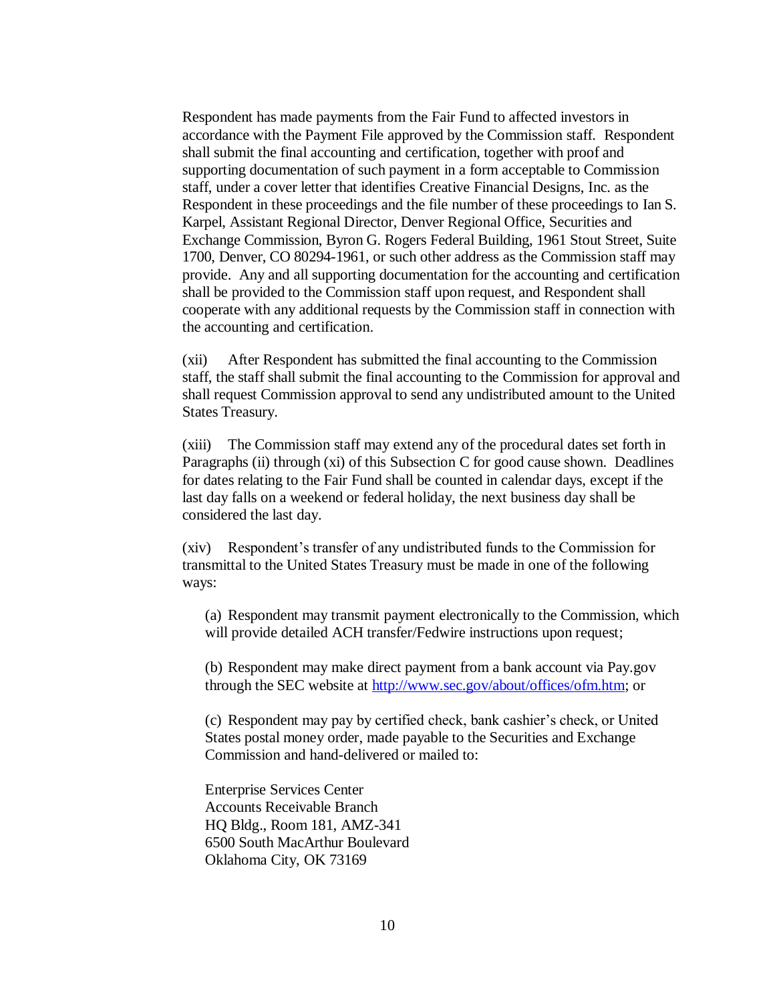Respondent has made payments from the Fair Fund to affected investors in accordance with the Payment File approved by the Commission staff. Respondent shall submit the final accounting and certification, together with proof and supporting documentation of such payment in a form acceptable to Commission staff, under a cover letter that identifies Creative Financial Designs, Inc. as the Respondent in these proceedings and the file number of these proceedings to Ian S. Karpel, Assistant Regional Director, Denver Regional Office, Securities and Exchange Commission, Byron G. Rogers Federal Building, 1961 Stout Street, Suite 1700, Denver, CO 80294-1961, or such other address as the Commission staff may provide. Any and all supporting documentation for the accounting and certification shall be provided to the Commission staff upon request, and Respondent shall cooperate with any additional requests by the Commission staff in connection with the accounting and certification.

(xii) After Respondent has submitted the final accounting to the Commission staff, the staff shall submit the final accounting to the Commission for approval and shall request Commission approval to send any undistributed amount to the United States Treasury.

(xiii) The Commission staff may extend any of the procedural dates set forth in Paragraphs (ii) through (xi) of this Subsection C for good cause shown. Deadlines for dates relating to the Fair Fund shall be counted in calendar days, except if the last day falls on a weekend or federal holiday, the next business day shall be considered the last day.

(xiv) Respondent's transfer of any undistributed funds to the Commission for transmittal to the United States Treasury must be made in one of the following ways:

(a) Respondent may transmit payment electronically to the Commission, which will provide detailed ACH transfer/Fedwire instructions upon request;

(b) Respondent may make direct payment from a bank account via Pay.gov through the SEC website at [http://www.sec.gov/about/offices/ofm.htm;](http://www.sec.gov/about/offices/ofm.htm) or

(c) Respondent may pay by certified check, bank cashier's check, or United States postal money order, made payable to the Securities and Exchange Commission and hand-delivered or mailed to:

Enterprise Services Center Accounts Receivable Branch HQ Bldg., Room 181, AMZ-341 6500 South MacArthur Boulevard Oklahoma City, OK 73169